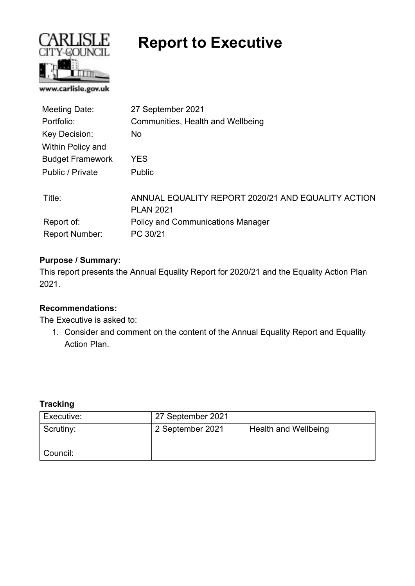

# **Report to Executive**

| Meeting Date:           | 27 September 2021                                                      |
|-------------------------|------------------------------------------------------------------------|
| Portfolio:              | Communities, Health and Wellbeing                                      |
| Key Decision:           | No.                                                                    |
| Within Policy and       |                                                                        |
| <b>Budget Framework</b> | YES                                                                    |
| Public / Private        | <b>Public</b>                                                          |
| Title:                  | ANNUAL EQUALITY REPORT 2020/21 AND EQUALITY ACTION<br><b>PLAN 2021</b> |
| Report of:              | <b>Policy and Communications Manager</b>                               |
| <b>Report Number:</b>   | PC 30/21                                                               |

### **Purpose / Summary:**

This report presents the Annual Equality Report for 2020/21 and the Equality Action Plan 2021.

### **Recommendations:**

The Executive is asked to:

1. Consider and comment on the content of the Annual Equality Report and Equality Action Plan.

#### **Tracking**

| Executive: | 27 September 2021 |                      |
|------------|-------------------|----------------------|
| Scrutiny:  | 2 September 2021  | Health and Wellbeing |
| Council:   |                   |                      |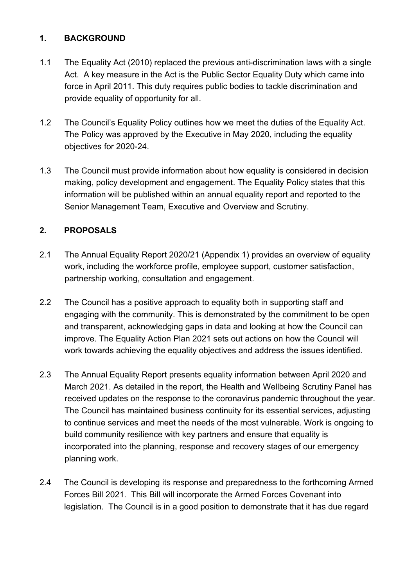# **1. BACKGROUND**

- 1.1 The Equality Act (2010) replaced the previous anti-discrimination laws with a single Act. A key measure in the Act is the Public Sector Equality Duty which came into force in April 2011. This duty requires public bodies to tackle discrimination and provide equality of opportunity for all.
- 1.2 The Council's Equality Policy outlines how we meet the duties of the Equality Act. The Policy was approved by the Executive in May 2020, including the equality objectives for 2020-24.
- 1.3 The Council must provide information about how equality is considered in decision making, policy development and engagement. The Equality Policy states that this information will be published within an annual equality report and reported to the Senior Management Team, Executive and Overview and Scrutiny.

# **2. PROPOSALS**

- 2.1 The Annual Equality Report 2020/21 (Appendix 1) provides an overview of equality work, including the workforce profile, employee support, customer satisfaction, partnership working, consultation and engagement.
- 2.2 The Council has a positive approach to equality both in supporting staff and engaging with the community. This is demonstrated by the commitment to be open and transparent, acknowledging gaps in data and looking at how the Council can improve. The Equality Action Plan 2021 sets out actions on how the Council will work towards achieving the equality objectives and address the issues identified.
- 2.3 The Annual Equality Report presents equality information between April 2020 and March 2021. As detailed in the report, the Health and Wellbeing Scrutiny Panel has received updates on the response to the coronavirus pandemic throughout the year. The Council has maintained business continuity for its essential services, adjusting to continue services and meet the needs of the most vulnerable. Work is ongoing to build community resilience with key partners and ensure that equality is incorporated into the planning, response and recovery stages of our emergency planning work.
- 2.4 The Council is developing its response and preparedness to the forthcoming Armed Forces Bill 2021. This Bill will incorporate the Armed Forces Covenant into legislation. The Council is in a good position to demonstrate that it has due regard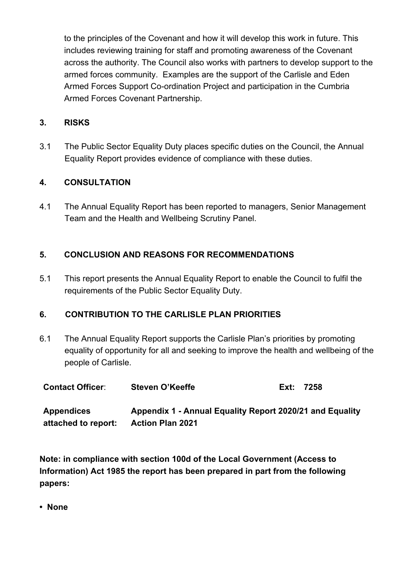to the principles of the Covenant and how it will develop this work in future. This includes reviewing training for staff and promoting awareness of the Covenant across the authority. The Council also works with partners to develop support to the armed forces community. Examples are the support of the Carlisle and Eden Armed Forces Support Co-ordination Project and participation in the Cumbria Armed Forces Covenant Partnership.

### **3. RISKS**

3.1 The Public Sector Equality Duty places specific duties on the Council, the Annual Equality Report provides evidence of compliance with these duties.

# **4. CONSULTATION**

4.1 The Annual Equality Report has been reported to managers, Senior Management Team and the Health and Wellbeing Scrutiny Panel.

### **5. CONCLUSION AND REASONS FOR RECOMMENDATIONS**

5.1This report presents the Annual Equality Report to enable the Council to fulfil the requirements of the Public Sector Equality Duty.

### **6. CONTRIBUTION TO THE CARLISLE PLAN PRIORITIES**

6.1 The Annual Equality Report supports the Carlisle Plan's priorities by promoting equality of opportunity for all and seeking to improve the health and wellbeing of the people of Carlisle.

| <b>Contact Officer:</b> | <b>Steven O'Keeffe</b>                                   | Ext: 7258 |
|-------------------------|----------------------------------------------------------|-----------|
| <b>Appendices</b>       | Appendix 1 - Annual Equality Report 2020/21 and Equality |           |
| attached to report:     | <b>Action Plan 2021</b>                                  |           |

**Note: in compliance with section 100d of the Local Government (Access to Information) Act 1985 the report has been prepared in part from the following papers:** 

**• None**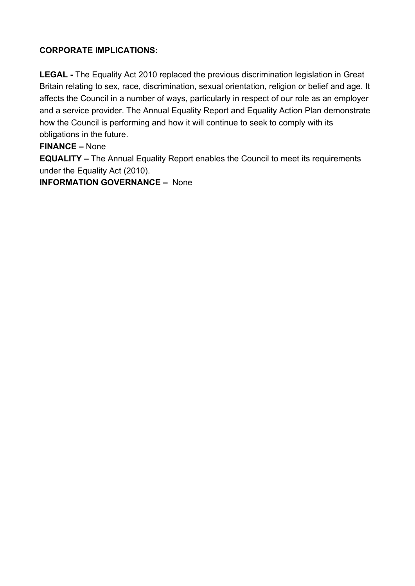# **CORPORATE IMPLICATIONS:**

**LEGAL -** The Equality Act 2010 replaced the previous discrimination legislation in Great Britain relating to sex, race, discrimination, sexual orientation, religion or belief and age. It affects the Council in a number of ways, particularly in respect of our role as an employer and a service provider. The Annual Equality Report and Equality Action Plan demonstrate how the Council is performing and how it will continue to seek to comply with its obligations in the future.

# **FINANCE –** None

**EQUALITY –** The Annual Equality Report enables the Council to meet its requirements under the Equality Act (2010).

**INFORMATION GOVERNANCE –** None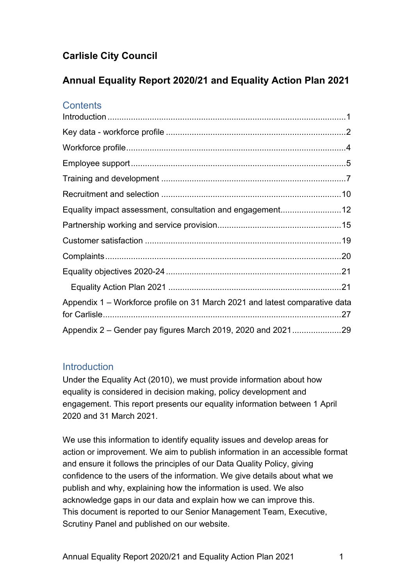# **Carlisle City Council**

# **Annual Equality Report 2020/21 and Equality Action Plan 2021**

# **Contents**

| Appendix 1 - Workforce profile on 31 March 2021 and latest comparative data |  |
|-----------------------------------------------------------------------------|--|
|                                                                             |  |

# <span id="page-4-0"></span>**Introduction**

Under the Equality Act (2010), we must provide information about how equality is considered in decision making, policy development and engagement. This report presents our equality information between 1 April 2020 and 31 March 2021.

We use this information to identify equality issues and develop areas for action or improvement. We aim to publish information in an accessible format and ensure it follows the principles of our Data Quality Policy, giving confidence to the users of the information. We give details about what we publish and why, explaining how the information is used. We also acknowledge gaps in our data and explain how we can improve this. This document is reported to our Senior Management Team, Executive, Scrutiny Panel and published on our website.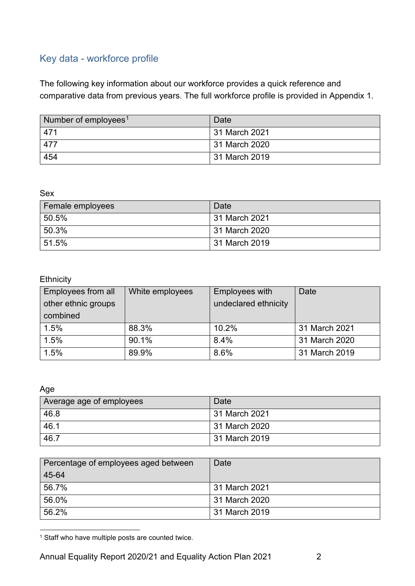# <span id="page-5-0"></span>Key data - workforce profile

The following key information about our workforce provides a quick reference and comparative data from previous years. The full workforce profile is provided in Appendix 1.

| Number of employees <sup>1</sup> | Date            |
|----------------------------------|-----------------|
| 471                              | l 31 March 2021 |
| 477                              | 31 March 2020   |
| 454                              | 31 March 2019   |

Sex

| Female employees | Date          |
|------------------|---------------|
| 50.5%            | 31 March 2021 |
| 50.3%            | 31 March 2020 |
| 51.5%            | 31 March 2019 |

# **Ethnicity**

| Employees from all<br>other ethnic groups<br>combined | White employees | Employees with<br>undeclared ethnicity | Date          |
|-------------------------------------------------------|-----------------|----------------------------------------|---------------|
| 1.5%                                                  | 88.3%           | 10.2%                                  | 31 March 2021 |
| 1.5%                                                  | 90.1%           | 8.4%                                   | 31 March 2020 |
| 1.5%                                                  | 89.9%           | 8.6%                                   | 31 March 2019 |

#### Age

| Average age of employees | Date            |
|--------------------------|-----------------|
| 46.8                     | 31 March 2021   |
| 46.1                     | l 31 March 2020 |
| 46.7                     | l 31 March 2019 |

| Percentage of employees aged between | Date          |
|--------------------------------------|---------------|
| 45-64                                |               |
| 56.7%                                | 31 March 2021 |
| 56.0%                                | 31 March 2020 |
| 56.2%                                | 31 March 2019 |

<span id="page-5-1"></span><sup>&</sup>lt;sup>1</sup> Staff who have multiple posts are counted twice.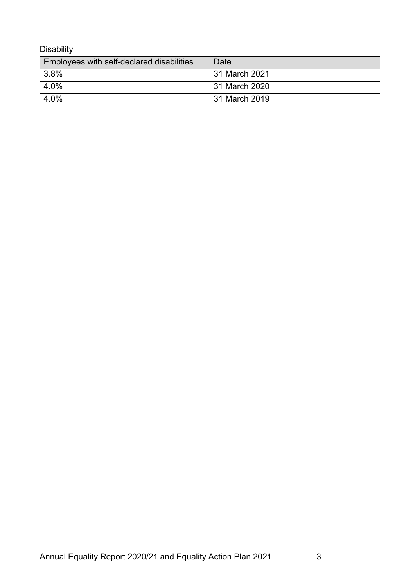Disability

| Employees with self-declared disabilities | Date          |
|-------------------------------------------|---------------|
| 3.8%                                      | 31 March 2021 |
| 4.0%                                      | 31 March 2020 |
| 4.0%                                      | 31 March 2019 |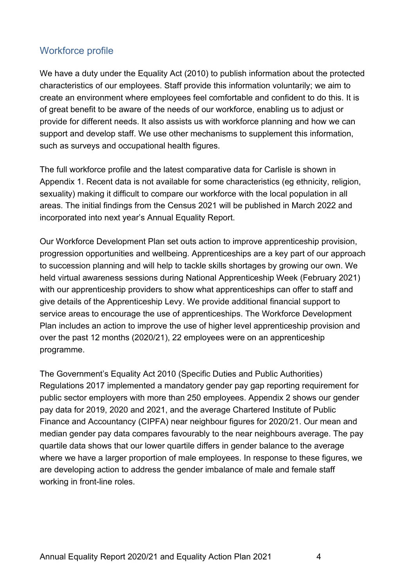# <span id="page-7-0"></span>Workforce profile

We have a duty under the Equality Act (2010) to publish information about the protected characteristics of our employees. Staff provide this information voluntarily; we aim to create an environment where employees feel comfortable and confident to do this. It is of great benefit to be aware of the needs of our workforce, enabling us to adjust or provide for different needs. It also assists us with workforce planning and how we can support and develop staff. We use other mechanisms to supplement this information, such as surveys and occupational health figures.

The full workforce profile and the latest comparative data for Carlisle is shown in Appendix 1. Recent data is not available for some characteristics (eg ethnicity, religion, sexuality) making it difficult to compare our workforce with the local population in all areas. The initial findings from the Census 2021 will be published in March 2022 and incorporated into next year's Annual Equality Report.

Our Workforce Development Plan set outs action to improve apprenticeship provision, progression opportunities and wellbeing. Apprenticeships are a key part of our approach to succession planning and will help to tackle skills shortages by growing our own. We held virtual awareness sessions during National Apprenticeship Week (February 2021) with our apprenticeship providers to show what apprenticeships can offer to staff and give details of the Apprenticeship Levy. We provide additional financial support to service areas to encourage the use of apprenticeships. The Workforce Development Plan includes an action to improve the use of higher level apprenticeship provision and over the past 12 months (2020/21), 22 employees were on an apprenticeship programme.

The Government's Equality Act 2010 (Specific Duties and Public Authorities) Regulations 2017 implemented a mandatory gender pay gap reporting requirement for public sector employers with more than 250 employees. Appendix 2 shows our gender pay data for 2019, 2020 and 2021, and the average Chartered Institute of Public Finance and Accountancy (CIPFA) near neighbour figures for 2020/21. Our mean and median gender pay data compares favourably to the near neighbours average. The pay quartile data shows that our lower quartile differs in gender balance to the average where we have a larger proportion of male employees. In response to these figures, we are developing action to address the gender imbalance of male and female staff working in front-line roles.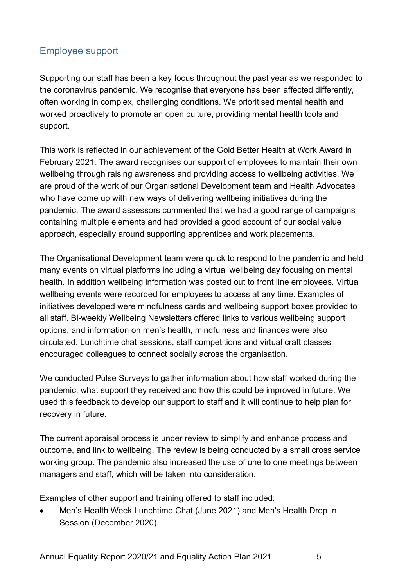# <span id="page-8-0"></span>Employee support

Supporting our staff has been a key focus throughout the past year as we responded to the coronavirus pandemic. We recognise that everyone has been affected differently, often working in complex, challenging conditions. We prioritised mental health and worked proactively to promote an open culture, providing mental health tools and support.

This work is reflected in our achievement of the Gold Better Health at Work Award in February 2021. The award recognises our support of employees to maintain their own wellbeing through raising awareness and providing access to wellbeing activities. We are proud of the work of our Organisational Development team and Health Advocates who have come up with new ways of delivering wellbeing initiatives during the pandemic. The award assessors commented that we had a good range of campaigns containing multiple elements and had provided a good account of our social value approach, especially around supporting apprentices and work placements.

The Organisational Development team were quick to respond to the pandemic and held many events on virtual platforms including a virtual wellbeing day focusing on mental health. In addition wellbeing information was posted out to front line employees. Virtual wellbeing events were recorded for employees to access at any time. Examples of initiatives developed were mindfulness cards and wellbeing support boxes provided to all staff. Bi-weekly Wellbeing Newsletters offered links to various wellbeing support options, and information on men's health, mindfulness and finances were also circulated. Lunchtime chat sessions, staff competitions and virtual craft classes encouraged colleagues to connect socially across the organisation.

We conducted Pulse Surveys to gather information about how staff worked during the pandemic, what support they received and how this could be improved in future. We used this feedback to develop our support to staff and it will continue to help plan for recovery in future.

The current appraisal process is under review to simplify and enhance process and outcome, and link to wellbeing. The review is being conducted by a small cross service working group. The pandemic also increased the use of one to one meetings between managers and staff, which will be taken into consideration.

Examples of other support and training offered to staff included:

• Men's Health Week Lunchtime Chat (June 2021) and Men's Health Drop In Session (December 2020).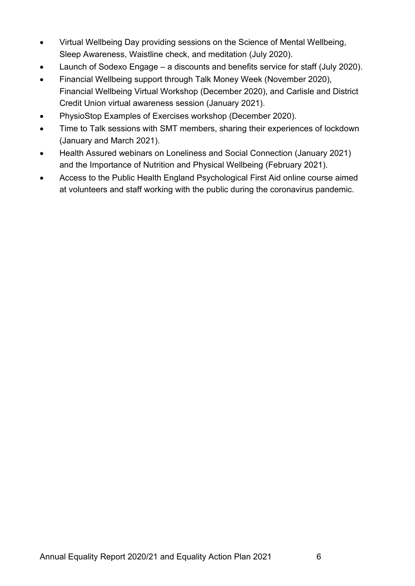- Virtual Wellbeing Day providing sessions on the Science of Mental Wellbeing, Sleep Awareness, Waistline check, and meditation (July 2020).
- Launch of Sodexo Engage a discounts and benefits service for staff (July 2020).
- Financial Wellbeing support through Talk Money Week (November 2020), Financial Wellbeing Virtual Workshop (December 2020), and Carlisle and District Credit Union virtual awareness session (January 2021).
- PhysioStop Examples of Exercises workshop (December 2020).
- Time to Talk sessions with SMT members, sharing their experiences of lockdown (January and March 2021).
- Health Assured webinars on Loneliness and Social Connection (January 2021) and the Importance of Nutrition and Physical Wellbeing (February 2021).
- Access to the Public Health England Psychological First Aid online course aimed at volunteers and staff working with the public during the coronavirus pandemic.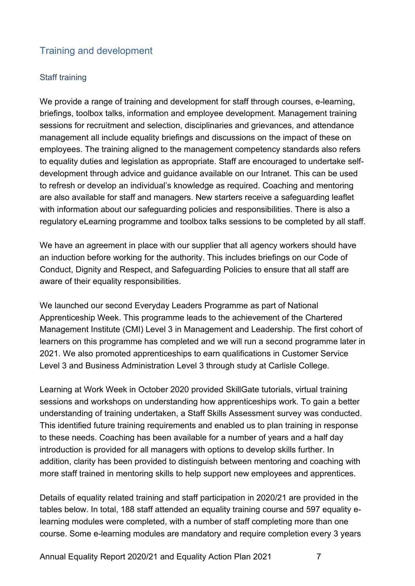# <span id="page-10-0"></span>Training and development

### Staff training

We provide a range of training and development for staff through courses, e-learning, briefings, toolbox talks, information and employee development. Management training sessions for recruitment and selection, disciplinaries and grievances, and attendance management all include equality briefings and discussions on the impact of these on employees. The training aligned to the management competency standards also refers to equality duties and legislation as appropriate. Staff are encouraged to undertake selfdevelopment through advice and guidance available on our Intranet. This can be used to refresh or develop an individual's knowledge as required. Coaching and mentoring are also available for staff and managers. New starters receive a safeguarding leaflet with information about our safeguarding policies and responsibilities. There is also a regulatory eLearning programme and toolbox talks sessions to be completed by all staff.

We have an agreement in place with our supplier that all agency workers should have an induction before working for the authority. This includes briefings on our Code of Conduct, Dignity and Respect, and Safeguarding Policies to ensure that all staff are aware of their equality responsibilities.

We launched our second Everyday Leaders Programme as part of National Apprenticeship Week. This programme leads to the achievement of the Chartered Management Institute (CMI) Level 3 in Management and Leadership. The first cohort of learners on this programme has completed and we will run a second programme later in 2021. We also promoted apprenticeships to earn qualifications in Customer Service Level 3 and Business Administration Level 3 through study at Carlisle College.

Learning at Work Week in October 2020 provided SkillGate tutorials, virtual training sessions and workshops on understanding how apprenticeships work. To gain a better understanding of training undertaken, a Staff Skills Assessment survey was conducted. This identified future training requirements and enabled us to plan training in response to these needs. Coaching has been available for a number of years and a half day introduction is provided for all managers with options to develop skills further. In addition, clarity has been provided to distinguish between mentoring and coaching with more staff trained in mentoring skills to help support new employees and apprentices.

Details of equality related training and staff participation in 2020/21 are provided in the tables below. In total, 188 staff attended an equality training course and 597 equality elearning modules were completed, with a number of staff completing more than one course. Some e-learning modules are mandatory and require completion every 3 years

Annual Equality Report 2020/21 and Equality Action Plan 2021 7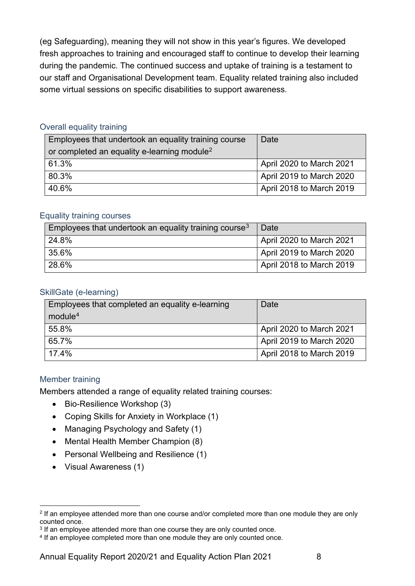(eg Safeguarding), meaning they will not show in this year's figures. We developed fresh approaches to training and encouraged staff to continue to develop their learning during the pandemic. The continued success and uptake of training is a testament to our staff and Organisational Development team. Equality related training also included some virtual sessions on specific disabilities to support awareness.

#### Overall equality training

| Employees that undertook an equality training course    | Date                     |
|---------------------------------------------------------|--------------------------|
| or completed an equality e-learning module <sup>2</sup> |                          |
| 61.3%                                                   | April 2020 to March 2021 |
| 80.3%                                                   | April 2019 to March 2020 |
| 40.6%                                                   | April 2018 to March 2019 |

#### Equality training courses

| Employees that undertook an equality training course <sup>3</sup> | Date                     |
|-------------------------------------------------------------------|--------------------------|
| 24.8%                                                             | April 2020 to March 2021 |
| 35.6%                                                             | April 2019 to March 2020 |
| 28.6%                                                             | April 2018 to March 2019 |

#### SkillGate (e-learning)

| Employees that completed an equality e-learning | Date                     |
|-------------------------------------------------|--------------------------|
| module <sup>4</sup>                             |                          |
| 55.8%                                           | April 2020 to March 2021 |
| 65.7%                                           | April 2019 to March 2020 |
| 17.4%                                           | April 2018 to March 2019 |

### Member training

Members attended a range of equality related training courses:

- Bio-Resilience Workshop (3)
- Coping Skills for Anxiety in Workplace (1)
- Managing Psychology and Safety (1)
- Mental Health Member Champion (8)
- Personal Wellbeing and Resilience (1)
- Visual Awareness (1)

<span id="page-11-0"></span> $2$  If an employee attended more than one course and/or completed more than one module they are only counted once.

<span id="page-11-1"></span><sup>&</sup>lt;sup>3</sup> If an employee attended more than one course they are only counted once.

<span id="page-11-2"></span><sup>&</sup>lt;sup>4</sup> If an employee completed more than one module they are only counted once.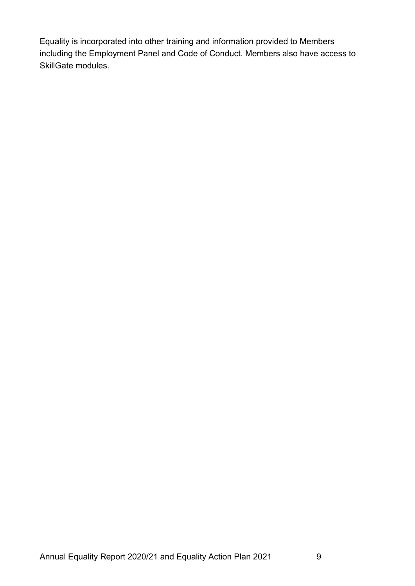Equality is incorporated into other training and information provided to Members including the Employment Panel and Code of Conduct. Members also have access to SkillGate modules.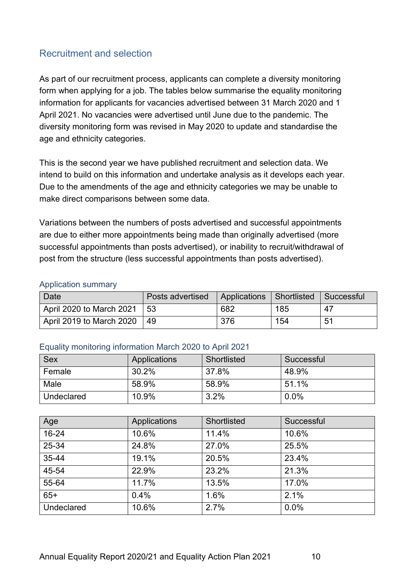# <span id="page-13-0"></span>Recruitment and selection

As part of our recruitment process, applicants can complete a diversity monitoring form when applying for a job. The tables below summarise the equality monitoring information for applicants for vacancies advertised between 31 March 2020 and 1 April 2021. No vacancies were advertised until June due to the pandemic. The diversity monitoring form was revised in May 2020 to update and standardise the age and ethnicity categories.

This is the second year we have published recruitment and selection data. We intend to build on this information and undertake analysis as it develops each year. Due to the amendments of the age and ethnicity categories we may be unable to make direct comparisons between some data.

Variations between the numbers of posts advertised and successful appointments are due to either more appointments being made than originally advertised (more successful appointments than posts advertised), or inability to recruit/withdrawal of post from the structure (less successful appointments than posts advertised).

#### Application summary

| 'Date                    | Posts advertised | Applications   Shortlisted   Successful |     |    |
|--------------------------|------------------|-----------------------------------------|-----|----|
| April 2020 to March 2021 | - 53             | 682                                     | 185 | 47 |
| April 2019 to March 2020 | - 49             | 376                                     | 154 | 51 |

#### Equality monitoring information March 2020 to April 2021

| <b>Sex</b> | Applications | Shortlisted | Successful |
|------------|--------------|-------------|------------|
| Female     | 30.2%        | 37.8%       | 48.9%      |
| Male       | 58.9%        | 58.9%       | 51.1%      |
| Undeclared | 10.9%        | 3.2%        | $0.0\%$    |

| Age               | Applications | Shortlisted | Successful |
|-------------------|--------------|-------------|------------|
| 16-24             | 10.6%        | 11.4%       | 10.6%      |
| 25-34             | 24.8%        | 27.0%       | 25.5%      |
| 35-44             | 19.1%        | 20.5%       | 23.4%      |
| 45-54             | 22.9%        | 23.2%       | 21.3%      |
| 55-64             | 11.7%        | 13.5%       | 17.0%      |
| $65+$             | 0.4%         | 1.6%        | 2.1%       |
| <b>Undeclared</b> | 10.6%        | 2.7%        | 0.0%       |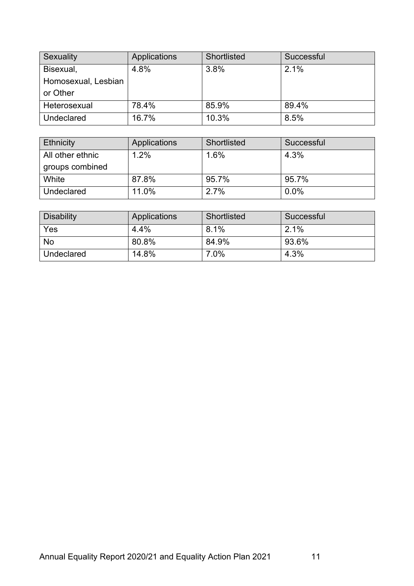| Sexuality           | Applications | Shortlisted | Successful |
|---------------------|--------------|-------------|------------|
| Bisexual,           | 4.8%         | 3.8%        | 2.1%       |
| Homosexual, Lesbian |              |             |            |
| or Other            |              |             |            |
| Heterosexual        | 78.4%        | 85.9%       | 89.4%      |
| Undeclared          | 16.7%        | 10.3%       | 8.5%       |

| <b>Ethnicity</b> | Applications | Shortlisted | Successful |
|------------------|--------------|-------------|------------|
| All other ethnic | 1.2%         | 1.6%        | 4.3%       |
| groups combined  |              |             |            |
| White            | 87.8%        | 95.7%       | 95.7%      |
| Undeclared       | 11.0%        | 2.7%        | 0.0%       |

| <b>Disability</b> | Applications | Shortlisted | Successful |
|-------------------|--------------|-------------|------------|
| Yes               | 4.4%         | 8.1%        | 2.1%       |
| <b>No</b>         | 80.8%        | 84.9%       | 93.6%      |
| Undeclared        | 14.8%        | 7.0%        | 4.3%       |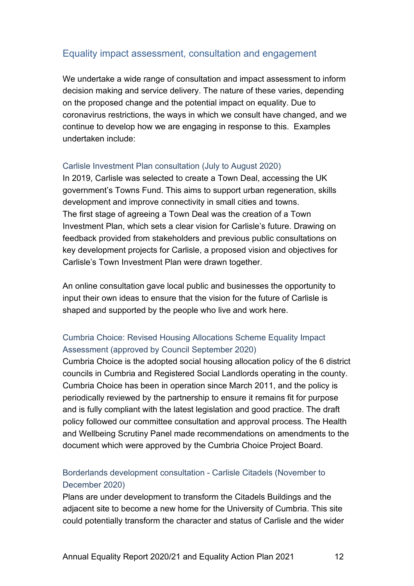# <span id="page-15-0"></span>Equality impact assessment, consultation and engagement

We undertake a wide range of consultation and impact assessment to inform decision making and service delivery. The nature of these varies, depending on the proposed change and the potential impact on equality. Due to coronavirus restrictions, the ways in which we consult have changed, and we continue to develop how we are engaging in response to this. Examples undertaken include:

#### Carlisle Investment Plan consultation (July to August 2020)

In 2019, Carlisle was selected to create a Town Deal, accessing the UK government's Towns Fund. This aims to support urban regeneration, skills development and improve connectivity in small cities and towns. The first stage of agreeing a Town Deal was the creation of a Town Investment Plan, which sets a clear vision for Carlisle's future. Drawing on feedback provided from stakeholders and previous public consultations on key development projects for Carlisle, a proposed vision and objectives for Carlisle's Town Investment Plan were drawn together.

An online consultation gave local public and businesses the opportunity to input their own ideas to ensure that the vision for the future of Carlisle is shaped and supported by the people who live and work here.

# Cumbria Choice: Revised Housing Allocations Scheme Equality Impact Assessment (approved by Council September 2020)

Cumbria Choice is the adopted social housing allocation policy of the 6 district councils in Cumbria and Registered Social Landlords operating in the county. Cumbria Choice has been in operation since March 2011, and the policy is periodically reviewed by the partnership to ensure it remains fit for purpose and is fully compliant with the latest legislation and good practice. The draft policy followed our committee consultation and approval process. The Health and Wellbeing Scrutiny Panel made recommendations on amendments to the document which were approved by the Cumbria Choice Project Board.

# Borderlands development consultation - Carlisle Citadels (November to December 2020)

Plans are under development to transform the Citadels Buildings and the adjacent site to become a new home for the University of Cumbria. This site could potentially transform the character and status of Carlisle and the wider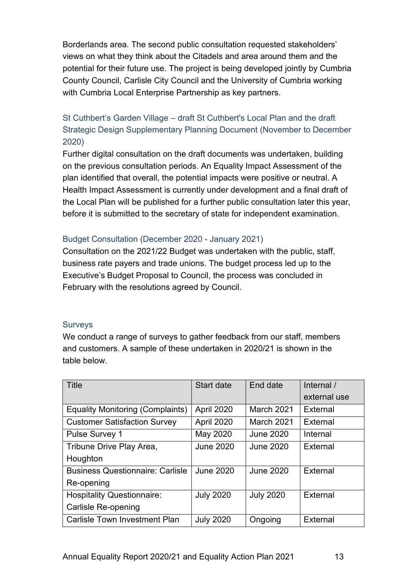Borderlands area. The second public consultation requested stakeholders' views on what they think about the Citadels and area around them and the potential for their future use. The project is being developed jointly by Cumbria County Council, Carlisle City Council and the University of Cumbria working with Cumbria Local Enterprise Partnership as key partners.

# St Cuthbert's Garden Village – draft St Cuthbert's Local Plan and the draft Strategic Design Supplementary Planning Document (November to December 2020)

Further digital consultation on the draft documents was undertaken, building on the previous consultation periods. An Equality Impact Assessment of the plan identified that overall, the potential impacts were positive or neutral. A Health Impact Assessment is currently under development and a final draft of the Local Plan will be published for a further public consultation later this year, before it is submitted to the secretary of state for independent examination.

### Budget Consultation (December 2020 - January 2021)

Consultation on the 2021/22 Budget was undertaken with the public, staff, business rate payers and trade unions. The budget process led up to the Executive's Budget Proposal to Council, the process was concluded in February with the resolutions agreed by Council.

### Surveys

We conduct a range of surveys to gather feedback from our staff, members and customers. A sample of these undertaken in 2020/21 is shown in the table below.

| <b>Title</b>                            | Start date       | End date         | Internal /   |
|-----------------------------------------|------------------|------------------|--------------|
|                                         |                  |                  | external use |
| <b>Equality Monitoring (Complaints)</b> | April 2020       | March 2021       | External     |
| <b>Customer Satisfaction Survey</b>     | April 2020       | March 2021       | External     |
| <b>Pulse Survey 1</b>                   | May 2020         | <b>June 2020</b> | Internal     |
| Tribune Drive Play Area,                | <b>June 2020</b> | <b>June 2020</b> | External     |
| Houghton                                |                  |                  |              |
| <b>Business Questionnaire: Carlisle</b> | <b>June 2020</b> | <b>June 2020</b> | External     |
| Re-opening                              |                  |                  |              |
| <b>Hospitality Questionnaire:</b>       | <b>July 2020</b> | <b>July 2020</b> | External     |
| <b>Carlisle Re-opening</b>              |                  |                  |              |
| <b>Carlisle Town Investment Plan</b>    | <b>July 2020</b> | Ongoing          | External     |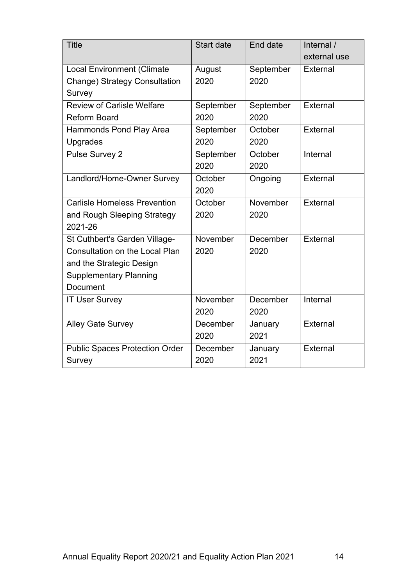| <b>Title</b>                          | Start date | End date  | Internal /   |
|---------------------------------------|------------|-----------|--------------|
|                                       |            |           | external use |
| <b>Local Environment (Climate</b>     | August     | September | External     |
| <b>Change) Strategy Consultation</b>  | 2020       | 2020      |              |
| Survey                                |            |           |              |
| <b>Review of Carlisle Welfare</b>     | September  | September | External     |
| <b>Reform Board</b>                   | 2020       | 2020      |              |
| Hammonds Pond Play Area               | September  | October   | External     |
| Upgrades                              | 2020       | 2020      |              |
| <b>Pulse Survey 2</b>                 | September  | October   | Internal     |
|                                       | 2020       | 2020      |              |
| Landlord/Home-Owner Survey            | October    | Ongoing   | External     |
|                                       | 2020       |           |              |
| <b>Carlisle Homeless Prevention</b>   | October    | November  | External     |
| and Rough Sleeping Strategy           | 2020       | 2020      |              |
| 2021-26                               |            |           |              |
| St Cuthbert's Garden Village-         | November   | December  | External     |
| <b>Consultation on the Local Plan</b> | 2020       | 2020      |              |
| and the Strategic Design              |            |           |              |
| <b>Supplementary Planning</b>         |            |           |              |
| Document                              |            |           |              |
| <b>IT User Survey</b>                 | November   | December  | Internal     |
|                                       | 2020       | 2020      |              |
| <b>Alley Gate Survey</b>              | December   | January   | External     |
|                                       | 2020       | 2021      |              |
| <b>Public Spaces Protection Order</b> | December   | January   | External     |
| Survey                                | 2020       | 2021      |              |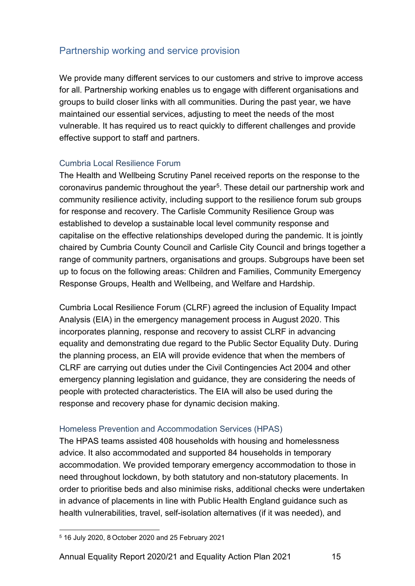# <span id="page-18-0"></span>Partnership working and service provision

We provide many different services to our customers and strive to improve access for all. Partnership working enables us to engage with different organisations and groups to build closer links with all communities. During the past year, we have maintained our essential services, adjusting to meet the needs of the most vulnerable. It has required us to react quickly to different challenges and provide effective support to staff and partners.

### Cumbria Local Resilience Forum

The Health and Wellbeing Scrutiny Panel received reports on the response to the coronavirus pandemic throughout the year<sup>[5](#page-18-1)</sup>. These detail our partnership work and community resilience activity, including support to the resilience forum sub groups for response and recovery. The Carlisle Community Resilience Group was established to develop a sustainable local level community response and capitalise on the effective relationships developed during the pandemic. It is jointly chaired by Cumbria County Council and Carlisle City Council and brings together a range of community partners, organisations and groups. Subgroups have been set up to focus on the following areas: Children and Families, Community Emergency Response Groups, Health and Wellbeing, and Welfare and Hardship.

Cumbria Local Resilience Forum (CLRF) agreed the inclusion of Equality Impact Analysis (EIA) in the emergency management process in August 2020. This incorporates planning, response and recovery to assist CLRF in advancing equality and demonstrating due regard to the Public Sector Equality Duty. During the planning process, an EIA will provide evidence that when the members of CLRF are carrying out duties under the Civil Contingencies Act 2004 and other emergency planning legislation and guidance, they are considering the needs of people with protected characteristics. The EIA will also be used during the response and recovery phase for dynamic decision making.

### Homeless Prevention and Accommodation Services (HPAS)

The HPAS teams assisted 408 households with housing and homelessness advice. It also accommodated and supported 84 households in temporary accommodation. We provided temporary emergency accommodation to those in need throughout lockdown, by both statutory and non-statutory placements. In order to prioritise beds and also minimise risks, additional checks were undertaken in advance of placements in line with Public Health England guidance such as health vulnerabilities, travel, self-isolation alternatives (if it was needed), and

<span id="page-18-1"></span><sup>5</sup> 16 July 2020, 8 October 2020 and 25 February 2021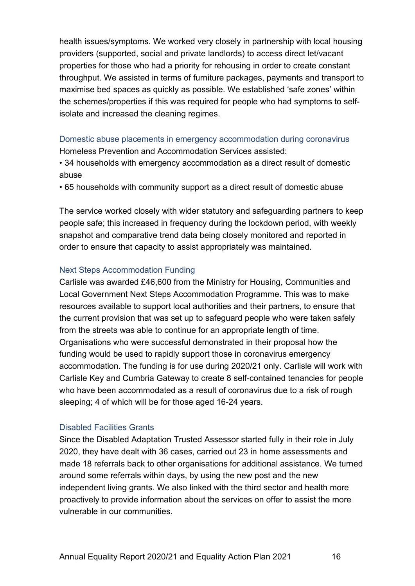health issues/symptoms. We worked very closely in partnership with local housing providers (supported, social and private landlords) to access direct let/vacant properties for those who had a priority for rehousing in order to create constant throughput. We assisted in terms of furniture packages, payments and transport to maximise bed spaces as quickly as possible. We established 'safe zones' within the schemes/properties if this was required for people who had symptoms to selfisolate and increased the cleaning regimes.

Domestic abuse placements in emergency accommodation during coronavirus Homeless Prevention and Accommodation Services assisted:

• 34 households with emergency accommodation as a direct result of domestic abuse

• 65 households with community support as a direct result of domestic abuse

The service worked closely with wider statutory and safeguarding partners to keep people safe; this increased in frequency during the lockdown period, with weekly snapshot and comparative trend data being closely monitored and reported in order to ensure that capacity to assist appropriately was maintained.

#### Next Steps Accommodation Funding

Carlisle was awarded £46,600 from the Ministry for Housing, Communities and Local Government Next Steps Accommodation Programme. This was to make resources available to support local authorities and their partners, to ensure that the current provision that was set up to safeguard people who were taken safely from the streets was able to continue for an appropriate length of time. Organisations who were successful demonstrated in their proposal how the funding would be used to rapidly support those in coronavirus emergency accommodation. The funding is for use during 2020/21 only. Carlisle will work with Carlisle Key and Cumbria Gateway to create 8 self-contained tenancies for people who have been accommodated as a result of coronavirus due to a risk of rough sleeping; 4 of which will be for those aged 16-24 years.

#### Disabled Facilities Grants

Since the Disabled Adaptation Trusted Assessor started fully in their role in July 2020, they have dealt with 36 cases, carried out 23 in home assessments and made 18 referrals back to other organisations for additional assistance. We turned around some referrals within days, by using the new post and the new independent living grants. We also linked with the third sector and health more proactively to provide information about the services on offer to assist the more vulnerable in our communities.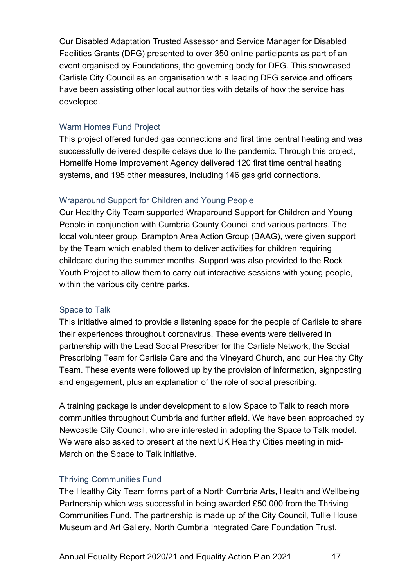Our Disabled Adaptation Trusted Assessor and Service Manager for Disabled Facilities Grants (DFG) presented to over 350 online participants as part of an event organised by Foundations, the governing body for DFG. This showcased Carlisle City Council as an organisation with a leading DFG service and officers have been assisting other local authorities with details of how the service has developed.

#### Warm Homes Fund Project

This project offered funded gas connections and first time central heating and was successfully delivered despite delays due to the pandemic. Through this project, Homelife Home Improvement Agency delivered 120 first time central heating systems, and 195 other measures, including 146 gas grid connections.

#### Wraparound Support for Children and Young People

Our Healthy City Team supported Wraparound Support for Children and Young People in conjunction with Cumbria County Council and various partners. The local volunteer group, Brampton Area Action Group (BAAG), were given support by the Team which enabled them to deliver activities for children requiring childcare during the summer months. Support was also provided to the Rock Youth Project to allow them to carry out interactive sessions with young people, within the various city centre parks.

#### Space to Talk

This initiative aimed to provide a listening space for the people of Carlisle to share their experiences throughout coronavirus. These events were delivered in partnership with the Lead Social Prescriber for the Carlisle Network, the Social Prescribing Team for Carlisle Care and the Vineyard Church, and our Healthy City Team. These events were followed up by the provision of information, signposting and engagement, plus an explanation of the role of social prescribing.

A training package is under development to allow Space to Talk to reach more communities throughout Cumbria and further afield. We have been approached by Newcastle City Council, who are interested in adopting the Space to Talk model. We were also asked to present at the next UK Healthy Cities meeting in mid-March on the Space to Talk initiative.

#### Thriving Communities Fund

The Healthy City Team forms part of a North Cumbria Arts, Health and Wellbeing Partnership which was successful in being awarded £50,000 from the Thriving Communities Fund. The partnership is made up of the City Council, Tullie House Museum and Art Gallery, North Cumbria Integrated Care Foundation Trust,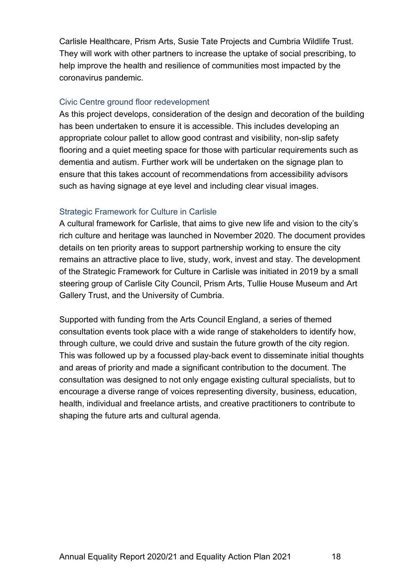Carlisle Healthcare, Prism Arts, Susie Tate Projects and Cumbria Wildlife Trust. They will work with other partners to increase the uptake of social prescribing, to help improve the health and resilience of communities most impacted by the coronavirus pandemic.

#### Civic Centre ground floor redevelopment

As this project develops, consideration of the design and decoration of the building has been undertaken to ensure it is accessible. This includes developing an appropriate colour pallet to allow good contrast and visibility, non-slip safety flooring and a quiet meeting space for those with particular requirements such as dementia and autism. Further work will be undertaken on the signage plan to ensure that this takes account of recommendations from accessibility advisors such as having signage at eye level and including clear visual images.

#### Strategic Framework for Culture in Carlisle

A cultural framework for Carlisle, that aims to give new life and vision to the city's rich culture and heritage was launched in November 2020. The document provides details on ten priority areas to support partnership working to ensure the city remains an attractive place to live, study, work, invest and stay. The development of the Strategic Framework for Culture in Carlisle was initiated in 2019 by a small steering group of Carlisle City Council, Prism Arts, Tullie House Museum and Art Gallery Trust, and the University of Cumbria.

Supported with funding from the Arts Council England, a series of themed consultation events took place with a wide range of stakeholders to identify how, through culture, we could drive and sustain the future growth of the city region. This was followed up by a focussed play-back event to disseminate initial thoughts and areas of priority and made a significant contribution to the document. The consultation was designed to not only engage existing cultural specialists, but to encourage a diverse range of voices representing diversity, business, education, health, individual and freelance artists, and creative practitioners to contribute to shaping the future arts and cultural agenda.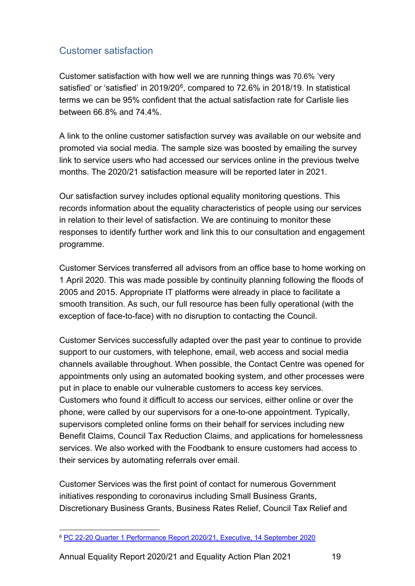# <span id="page-22-0"></span>Customer satisfaction

Customer satisfaction with how well we are running things was 70.6% 'very satisfied' or 'satisfied' in 2019/20<sup>[6](#page-22-1)</sup>, compared to 72.6% in 2018/19. In statistical terms we can be 95% confident that the actual satisfaction rate for Carlisle lies between 66.8% and 74.4%.

A link to the online customer satisfaction survey was available on our website and promoted via social media. The sample size was boosted by emailing the survey link to service users who had accessed our services online in the previous twelve months. The 2020/21 satisfaction measure will be reported later in 2021.

Our satisfaction survey includes optional equality monitoring questions. This records information about the equality characteristics of people using our services in relation to their level of satisfaction. We are continuing to monitor these responses to identify further work and link this to our consultation and engagement programme.

Customer Services transferred all advisors from an office base to home working on 1 April 2020. This was made possible by continuity planning following the floods of 2005 and 2015. Appropriate IT platforms were already in place to facilitate a smooth transition. As such, our full resource has been fully operational (with the exception of face-to-face) with no disruption to contacting the Council.

Customer Services successfully adapted over the past year to continue to provide support to our customers, with telephone, email, web access and social media channels available throughout. When possible, the Contact Centre was opened for appointments only using an automated booking system, and other processes were put in place to enable our vulnerable customers to access key services. Customers who found it difficult to access our services, either online or over the phone, were called by our supervisors for a one-to-one appointment. Typically, supervisors completed online forms on their behalf for services including new Benefit Claims, Council Tax Reduction Claims, and applications for homelessness services. We also worked with the Foodbank to ensure customers had access to their services by automating referrals over email.

Customer Services was the first point of contact for numerous Government initiatives responding to coronavirus including Small Business Grants, Discretionary Business Grants, Business Rates Relief, Council Tax Relief and

Annual Equality Report 2020/21 and Equality Action Plan 2021 19

<span id="page-22-1"></span><sup>6</sup> [PC 22-20 Quarter 1 Performance Report 2020/21, Executive, 14 September 2020](https://carlisle.cmis.uk.com/Document.ashx?czJKcaeAi5tUFL1DTL2UE4zNRBcoShgo=Mi%2bIDRVJ37A6rmOb%2bePriTiEuRrJXZtjnmHUoPsg014ZAAsarLjNjA%3d%3d&rUzwRPf%2bZ3zd4E7Ikn8Lyw%3d%3d=pwRE6AGJFLDNlh225F5QMaQWCtPHwdhUfCZ%2fLUQzgA2uL5jNRG4jdQ%3d%3d&mCTIbCubSFfXsDGW9IXnlg%3d%3d=hFflUdN3100%3d&kCx1AnS9%2fpWZQ40DXFvdEw%3d%3d=hFflUdN3100%3d&uJovDxwdjMPoYv%2bAJvYtyA%3d%3d=ctNJFf55vVA%3d&FgPlIEJYlotS%2bYGoBi5olA%3d%3d=B03MzdTRKlI%3d&d9Qjj0ag1Pd993jsyOJqFvmyB7X0CSQK=ctNJFf55vVA%3d&WGewmoAfeNR9xqBux0r1Q8Za60lavYmz=ctNJFf55vVA%3d&WGewmoAfeNQ16B2MHuCpMRKZMwaG1PaO=ctNJFf55vVA%3d)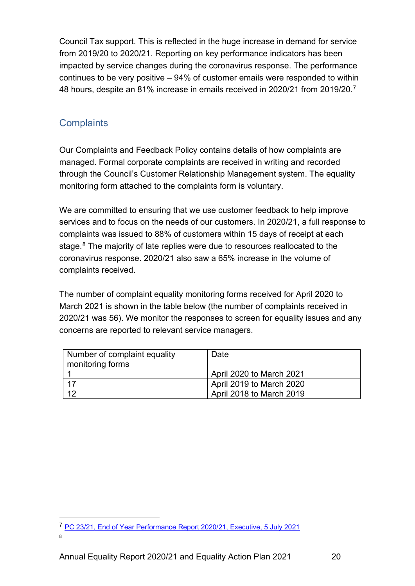Council Tax support. This is reflected in the huge increase in demand for service from 2019/20 to 2020/21. Reporting on key performance indicators has been impacted by service changes during the coronavirus response. The performance continues to be very positive – 94% of customer emails were responded to within 48 hours, despite an 81% increase in emails received in 2020/21 from 2019/20.<sup>[7](#page-23-1)</sup>

# <span id="page-23-0"></span>**Complaints**

Our Complaints and Feedback Policy contains details of how complaints are managed. Formal corporate complaints are received in writing and recorded through the Council's Customer Relationship Management system. The equality monitoring form attached to the complaints form is voluntary.

We are committed to ensuring that we use customer feedback to help improve services and to focus on the needs of our customers. In 2020/21, a full response to complaints was issued to 88% of customers within 15 days of receipt at each stage.<sup>[8](#page-23-2)</sup> The majority of late replies were due to resources reallocated to the coronavirus response. 2020/21 also saw a 65% increase in the volume of complaints received.

The number of complaint equality monitoring forms received for April 2020 to March 2021 is shown in the table below (the number of complaints received in 2020/21 was 56). We monitor the responses to screen for equality issues and any concerns are reported to relevant service managers.

| Number of complaint equality<br>monitoring forms | Date                            |
|--------------------------------------------------|---------------------------------|
|                                                  | <b>April 2020 to March 2021</b> |
|                                                  | April 2019 to March 2020        |
| ィつ                                               | April 2018 to March 2019        |

<span id="page-23-2"></span><span id="page-23-1"></span><sup>&</sup>lt;sup>7</sup> [PC 23/21, End of Year Performance Report 2020/21, Executive, 5 July 2021](https://carlisle.cmis.uk.com/Document.ashx?czJKcaeAi5tUFL1DTL2UE4zNRBcoShgo=dcSfWrHemshDMHsVwDXpkAuqu%2bnd4RPOIFF5oHX%2bPsELwYH14q0P9Q%3d%3d&rUzwRPf%2bZ3zd4E7Ikn8Lyw%3d%3d=pwRE6AGJFLDNlh225F5QMaQWCtPHwdhUfCZ%2fLUQzgA2uL5jNRG4jdQ%3d%3d&mCTIbCubSFfXsDGW9IXnlg%3d%3d=hFflUdN3100%3d&kCx1AnS9%2fpWZQ40DXFvdEw%3d%3d=hFflUdN3100%3d&uJovDxwdjMPoYv%2bAJvYtyA%3d%3d=ctNJFf55vVA%3d&FgPlIEJYlotS%2bYGoBi5olA%3d%3d=B03MzdTRKlI%3d&d9Qjj0ag1Pd993jsyOJqFvmyB7X0CSQK=ctNJFf55vVA%3d&WGewmoAfeNR9xqBux0r1Q8Za60lavYmz=ctNJFf55vVA%3d&WGewmoAfeNQ16B2MHuCpMRKZMwaG1PaO=ctNJFf55vVA%3d)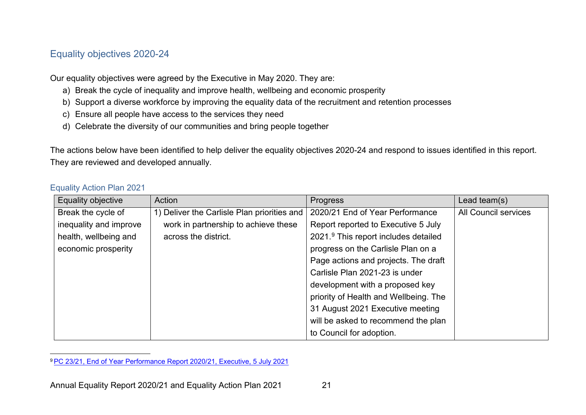# <span id="page-24-2"></span>Equality objectives 2020-24

Our equality objectives were agreed by the Executive in May 2020. They are:

- a) Break the cycle of inequality and improve health, wellbeing and economic prosperity
- b) Support a diverse workforce by improving the equality data of the recruitment and retention processes
- c) Ensure all people have access to the services they need
- d) Celebrate the diversity of our communities and bring people together

The actions below have been identified to help deliver the equality objectives 2020-24 and respond to issues identified in this report. They are reviewed and developed annually.

#### Equality Action Plan 2021

<span id="page-24-0"></span>

| Equality objective     | Action                                      | <b>Progress</b>                       | Lead team(s)                |
|------------------------|---------------------------------------------|---------------------------------------|-----------------------------|
| Break the cycle of     | 1) Deliver the Carlisle Plan priorities and | 2020/21 End of Year Performance       | <b>All Council services</b> |
| inequality and improve | work in partnership to achieve these        | Report reported to Executive 5 July   |                             |
| health, wellbeing and  | across the district.                        | 2021.9 This report includes detailed  |                             |
| economic prosperity    |                                             | progress on the Carlisle Plan on a    |                             |
|                        |                                             | Page actions and projects. The draft  |                             |
|                        |                                             | Carlisle Plan 2021-23 is under        |                             |
|                        |                                             | development with a proposed key       |                             |
|                        |                                             | priority of Health and Wellbeing. The |                             |
|                        |                                             | 31 August 2021 Executive meeting      |                             |
|                        |                                             | will be asked to recommend the plan   |                             |
|                        |                                             | to Council for adoption.              |                             |

<span id="page-24-1"></span><sup>9</sup> [PC 23/21, End of Year Performance Report 2020/21, Executive, 5 July 2021](https://carlisle.cmis.uk.com/Document.ashx?czJKcaeAi5tUFL1DTL2UE4zNRBcoShgo=dcSfWrHemshDMHsVwDXpkAuqu%2bnd4RPOIFF5oHX%2bPsELwYH14q0P9Q%3d%3d&rUzwRPf%2bZ3zd4E7Ikn8Lyw%3d%3d=pwRE6AGJFLDNlh225F5QMaQWCtPHwdhUfCZ%2fLUQzgA2uL5jNRG4jdQ%3d%3d&mCTIbCubSFfXsDGW9IXnlg%3d%3d=hFflUdN3100%3d&kCx1AnS9%2fpWZQ40DXFvdEw%3d%3d=hFflUdN3100%3d&uJovDxwdjMPoYv%2bAJvYtyA%3d%3d=ctNJFf55vVA%3d&FgPlIEJYlotS%2bYGoBi5olA%3d%3d=B03MzdTRKlI%3d&d9Qjj0ag1Pd993jsyOJqFvmyB7X0CSQK=ctNJFf55vVA%3d&WGewmoAfeNR9xqBux0r1Q8Za60lavYmz=ctNJFf55vVA%3d&WGewmoAfeNQ16B2MHuCpMRKZMwaG1PaO=ctNJFf55vVA%3d)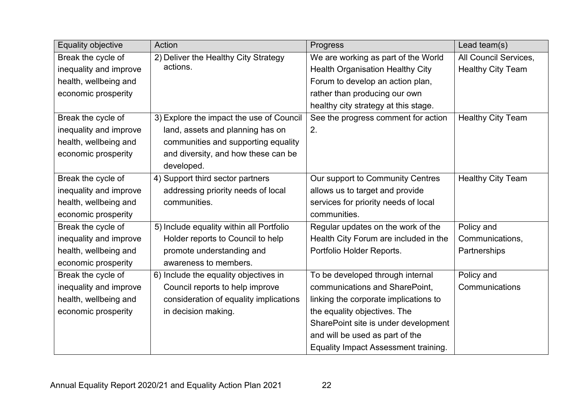| <b>Equality objective</b> | Action                                   | Progress                                    | Lead team(s)             |
|---------------------------|------------------------------------------|---------------------------------------------|--------------------------|
| Break the cycle of        | 2) Deliver the Healthy City Strategy     | We are working as part of the World         | All Council Services,    |
| inequality and improve    | actions.                                 | <b>Health Organisation Healthy City</b>     | <b>Healthy City Team</b> |
| health, wellbeing and     |                                          | Forum to develop an action plan,            |                          |
| economic prosperity       |                                          | rather than producing our own               |                          |
|                           |                                          | healthy city strategy at this stage.        |                          |
| Break the cycle of        | 3) Explore the impact the use of Council | See the progress comment for action         | <b>Healthy City Team</b> |
| inequality and improve    | land, assets and planning has on         | 2.                                          |                          |
| health, wellbeing and     | communities and supporting equality      |                                             |                          |
| economic prosperity       | and diversity, and how these can be      |                                             |                          |
|                           | developed.                               |                                             |                          |
| Break the cycle of        | 4) Support third sector partners         | Our support to Community Centres            | <b>Healthy City Team</b> |
| inequality and improve    | addressing priority needs of local       | allows us to target and provide             |                          |
| health, wellbeing and     | communities.                             | services for priority needs of local        |                          |
| economic prosperity       |                                          | communities.                                |                          |
| Break the cycle of        | 5) Include equality within all Portfolio | Regular updates on the work of the          | Policy and               |
| inequality and improve    | Holder reports to Council to help        | Health City Forum are included in the       | Communications,          |
| health, wellbeing and     | promote understanding and                | Portfolio Holder Reports.                   | Partnerships             |
| economic prosperity       | awareness to members.                    |                                             |                          |
| Break the cycle of        | 6) Include the equality objectives in    | To be developed through internal            | Policy and               |
| inequality and improve    | Council reports to help improve          | communications and SharePoint,              | Communications           |
| health, wellbeing and     | consideration of equality implications   | linking the corporate implications to       |                          |
| economic prosperity       | in decision making.                      | the equality objectives. The                |                          |
|                           |                                          | SharePoint site is under development        |                          |
|                           |                                          | and will be used as part of the             |                          |
|                           |                                          | <b>Equality Impact Assessment training.</b> |                          |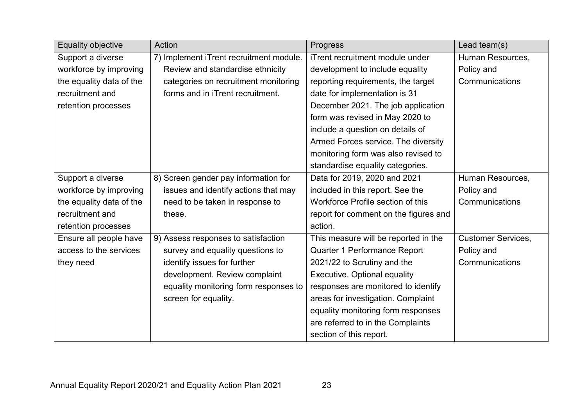| Equality objective       | Action                                  | Progress                              | Lead team(s)              |
|--------------------------|-----------------------------------------|---------------------------------------|---------------------------|
| Support a diverse        | 7) Implement iTrent recruitment module. | iTrent recruitment module under       | Human Resources,          |
| workforce by improving   | Review and standardise ethnicity        | development to include equality       | Policy and                |
| the equality data of the | categories on recruitment monitoring    | reporting requirements, the target    | Communications            |
| recruitment and          | forms and in iTrent recruitment.        | date for implementation is 31         |                           |
| retention processes      |                                         | December 2021. The job application    |                           |
|                          |                                         | form was revised in May 2020 to       |                           |
|                          |                                         | include a question on details of      |                           |
|                          |                                         | Armed Forces service. The diversity   |                           |
|                          |                                         | monitoring form was also revised to   |                           |
|                          |                                         | standardise equality categories.      |                           |
| Support a diverse        | 8) Screen gender pay information for    | Data for 2019, 2020 and 2021          | Human Resources,          |
| workforce by improving   | issues and identify actions that may    | included in this report. See the      | Policy and                |
| the equality data of the | need to be taken in response to         | Workforce Profile section of this     | Communications            |
| recruitment and          | these.                                  | report for comment on the figures and |                           |
| retention processes      |                                         | action.                               |                           |
| Ensure all people have   | 9) Assess responses to satisfaction     | This measure will be reported in the  | <b>Customer Services,</b> |
| access to the services   | survey and equality questions to        | Quarter 1 Performance Report          | Policy and                |
| they need                | identify issues for further             | 2021/22 to Scrutiny and the           | Communications            |
|                          | development. Review complaint           | <b>Executive. Optional equality</b>   |                           |
|                          | equality monitoring form responses to   | responses are monitored to identify   |                           |
|                          | screen for equality.                    | areas for investigation. Complaint    |                           |
|                          |                                         | equality monitoring form responses    |                           |
|                          |                                         | are referred to in the Complaints     |                           |
|                          |                                         | section of this report.               |                           |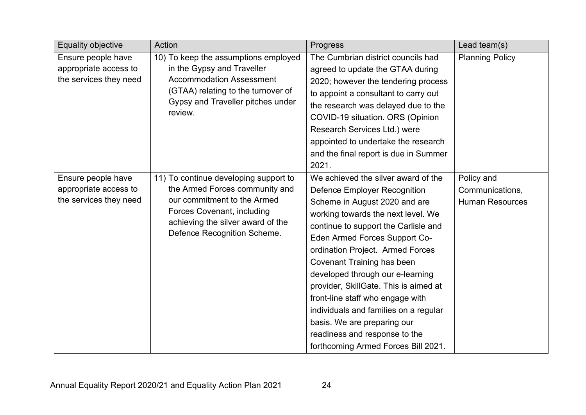| <b>Equality objective</b> | Action                                | Progress                              | Lead team(s)           |
|---------------------------|---------------------------------------|---------------------------------------|------------------------|
| Ensure people have        | 10) To keep the assumptions employed  | The Cumbrian district councils had    | <b>Planning Policy</b> |
| appropriate access to     | in the Gypsy and Traveller            | agreed to update the GTAA during      |                        |
| the services they need    | <b>Accommodation Assessment</b>       | 2020; however the tendering process   |                        |
|                           | (GTAA) relating to the turnover of    | to appoint a consultant to carry out  |                        |
|                           | Gypsy and Traveller pitches under     | the research was delayed due to the   |                        |
|                           | review.                               | COVID-19 situation. ORS (Opinion      |                        |
|                           |                                       | Research Services Ltd.) were          |                        |
|                           |                                       | appointed to undertake the research   |                        |
|                           |                                       | and the final report is due in Summer |                        |
|                           |                                       | 2021.                                 |                        |
| Ensure people have        | 11) To continue developing support to | We achieved the silver award of the   | Policy and             |
| appropriate access to     | the Armed Forces community and        | <b>Defence Employer Recognition</b>   | Communications,        |
| the services they need    | our commitment to the Armed           | Scheme in August 2020 and are         | <b>Human Resources</b> |
|                           | Forces Covenant, including            | working towards the next level. We    |                        |
|                           | achieving the silver award of the     | continue to support the Carlisle and  |                        |
|                           | Defence Recognition Scheme.           | Eden Armed Forces Support Co-         |                        |
|                           |                                       | ordination Project. Armed Forces      |                        |
|                           |                                       | <b>Covenant Training has been</b>     |                        |
|                           |                                       | developed through our e-learning      |                        |
|                           |                                       | provider, SkillGate. This is aimed at |                        |
|                           |                                       | front-line staff who engage with      |                        |
|                           |                                       | individuals and families on a regular |                        |
|                           |                                       | basis. We are preparing our           |                        |
|                           |                                       | readiness and response to the         |                        |
|                           |                                       | forthcoming Armed Forces Bill 2021.   |                        |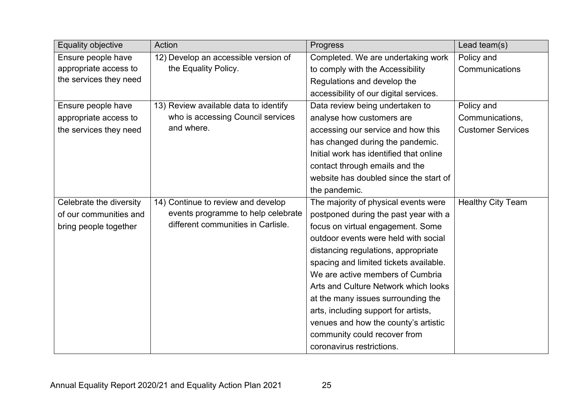| <b>Equality objective</b> | Action                                | <b>Progress</b>                         | Lead team(s)             |
|---------------------------|---------------------------------------|-----------------------------------------|--------------------------|
| Ensure people have        | 12) Develop an accessible version of  | Completed. We are undertaking work      | Policy and               |
| appropriate access to     | the Equality Policy.                  | to comply with the Accessibility        | Communications           |
| the services they need    |                                       | Regulations and develop the             |                          |
|                           |                                       | accessibility of our digital services.  |                          |
| Ensure people have        | 13) Review available data to identify | Data review being undertaken to         | Policy and               |
| appropriate access to     | who is accessing Council services     | analyse how customers are               | Communications,          |
| the services they need    | and where.                            | accessing our service and how this      | <b>Customer Services</b> |
|                           |                                       | has changed during the pandemic.        |                          |
|                           |                                       | Initial work has identified that online |                          |
|                           |                                       | contact through emails and the          |                          |
|                           |                                       | website has doubled since the start of  |                          |
|                           |                                       | the pandemic.                           |                          |
| Celebrate the diversity   | 14) Continue to review and develop    | The majority of physical events were    | <b>Healthy City Team</b> |
| of our communities and    | events programme to help celebrate    | postponed during the past year with a   |                          |
| bring people together     | different communities in Carlisle.    | focus on virtual engagement. Some       |                          |
|                           |                                       | outdoor events were held with social    |                          |
|                           |                                       | distancing regulations, appropriate     |                          |
|                           |                                       | spacing and limited tickets available.  |                          |
|                           |                                       | We are active members of Cumbria        |                          |
|                           |                                       | Arts and Culture Network which looks    |                          |
|                           |                                       | at the many issues surrounding the      |                          |
|                           |                                       | arts, including support for artists,    |                          |
|                           |                                       | venues and how the county's artistic    |                          |
|                           |                                       | community could recover from            |                          |
|                           |                                       | coronavirus restrictions.               |                          |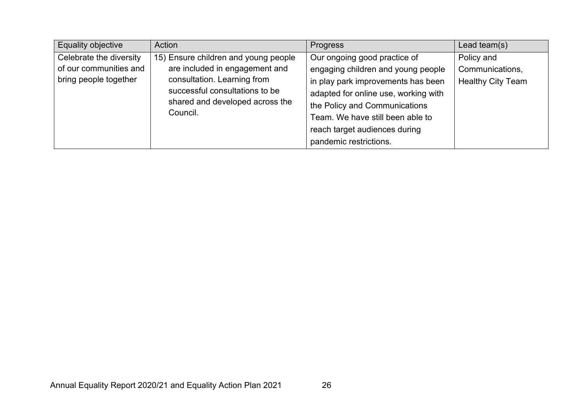| <b>Equality objective</b>                                                  | Action                                                                                                                                                                                 | Progress                                                                                                                                                                                                                                               | Lead team $(s)$                                           |
|----------------------------------------------------------------------------|----------------------------------------------------------------------------------------------------------------------------------------------------------------------------------------|--------------------------------------------------------------------------------------------------------------------------------------------------------------------------------------------------------------------------------------------------------|-----------------------------------------------------------|
| Celebrate the diversity<br>of our communities and<br>bring people together | 15) Ensure children and young people<br>are included in engagement and<br>consultation. Learning from<br>successful consultations to be<br>shared and developed across the<br>Council. | Our ongoing good practice of<br>engaging children and young people<br>in play park improvements has been<br>adapted for online use, working with<br>the Policy and Communications<br>Team. We have still been able to<br>reach target audiences during | Policy and<br>Communications,<br><b>Healthy City Team</b> |
|                                                                            |                                                                                                                                                                                        | pandemic restrictions.                                                                                                                                                                                                                                 |                                                           |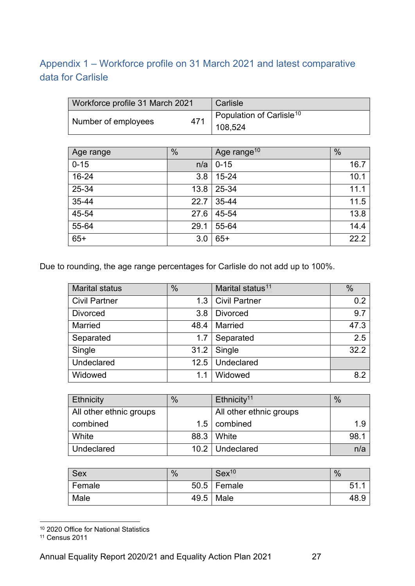# <span id="page-30-0"></span>Appendix 1 – Workforce profile on 31 March 2021 and latest comparative data for Carlisle

| Workforce profile 31 March 2021 |     | Carlisle                             |
|---------------------------------|-----|--------------------------------------|
| Number of employees             | 471 | Population of Carlisle <sup>10</sup> |
|                                 |     | 108.524                              |

| Age range | $\frac{0}{0}$ | Age range <sup>10</sup> | $\frac{0}{0}$ |
|-----------|---------------|-------------------------|---------------|
| $0 - 15$  | n/a           | $0 - 15$                | 16.7          |
| 16-24     | 3.8           | $15 - 24$               | 10.1          |
| 25-34     | 13.8          | 25-34                   | 11.1          |
| 35-44     | 22.7          | 35-44                   | 11.5          |
| 45-54     | 27.6          | 45-54                   | 13.8          |
| 55-64     | 29.1          | 55-64                   | 14.4          |
| $65+$     | 3.0           | $65+$                   | 22.2          |

Due to rounding, the age range percentages for Carlisle do not add up to 100%.

| <b>Marital status</b> | $\%$ | Marital status <sup>11</sup> | $\frac{0}{0}$ |
|-----------------------|------|------------------------------|---------------|
| <b>Civil Partner</b>  | 1.3  | <b>Civil Partner</b>         | 0.2           |
| <b>Divorced</b>       | 3.8  | <b>Divorced</b>              | 9.7           |
| <b>Married</b>        | 48.4 | Married                      | 47.3          |
| Separated             | 1.7  | Separated                    | 2.5           |
| Single                | 31.2 | Single                       | 32.2          |
| Undeclared            | 12.5 | Undeclared                   |               |
| Widowed               | 1.1  | Widowed                      | 8.2           |

| Ethnicity               | $\%$ | Ethnicity <sup>11</sup> | $\frac{9}{6}$ |
|-------------------------|------|-------------------------|---------------|
| All other ethnic groups |      | All other ethnic groups |               |
| combined                |      | $1.5$ combined          | 1.9           |
| White                   |      | 88.3   White            | 98.1          |
| Undeclared              |      | 10.2   Undeclared       | n/a           |

| <b>Sex</b> | $\%$ | Sex <sup>10</sup> | $\%$        |
|------------|------|-------------------|-------------|
| Female     |      | $50.5$ Female     | $5^{\circ}$ |
| Male       | 49.5 | Male              | .48         |

<span id="page-30-1"></span><sup>10</sup> 2020 Office for National Statistics

<span id="page-30-2"></span><sup>11</sup> Census 2011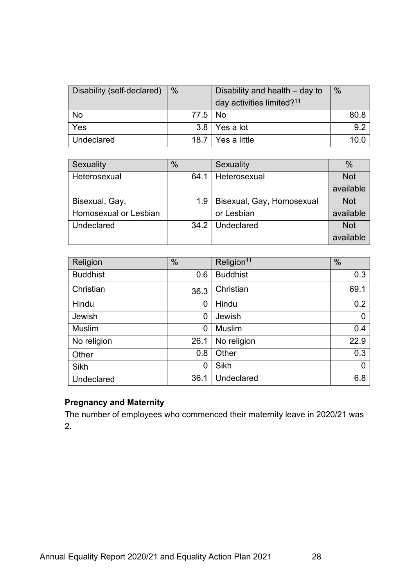| Disability (self-declared) | $\frac{0}{0}$ | Disability and health – day to<br>day activities limited? <sup>11</sup> | $\%$ |
|----------------------------|---------------|-------------------------------------------------------------------------|------|
| No                         | 77.5   No     |                                                                         | 80.8 |
| Yes                        |               | $3.8$   Yes a lot                                                       | 9.2  |
| Undeclared                 |               | 18.7   Yes a little                                                     |      |

| Sexuality             | $\frac{0}{0}$ | <b>Sexuality</b>          | $\%$       |
|-----------------------|---------------|---------------------------|------------|
| Heterosexual          | 64.1          | Heterosexual              | <b>Not</b> |
|                       |               |                           | available  |
| Bisexual, Gay,        | 1.9           | Bisexual, Gay, Homosexual | <b>Not</b> |
| Homosexual or Lesbian |               | or Lesbian                | available  |
| Undeclared            |               | 34.2   Undeclared         | <b>Not</b> |
|                       |               |                           | available  |

| Religion        | $\%$ | Religion <sup>11</sup> | $\frac{0}{0}$ |
|-----------------|------|------------------------|---------------|
| <b>Buddhist</b> | 0.6  | <b>Buddhist</b>        | 0.3           |
| Christian       | 36.3 | Christian              | 69.1          |
| Hindu           | 0    | Hindu                  | 0.2           |
| Jewish          | 0    | Jewish                 | 0             |
| <b>Muslim</b>   | 0    | <b>Muslim</b>          | 0.4           |
| No religion     | 26.1 | No religion            | 22.9          |
| Other           | 0.8  | Other                  | 0.3           |
| <b>Sikh</b>     | 0    | Sikh                   | 0             |
| Undeclared      | 36.1 | <b>Undeclared</b>      | 6.8           |

# **Pregnancy and Maternity**

The number of employees who commenced their maternity leave in 2020/21 was 2.